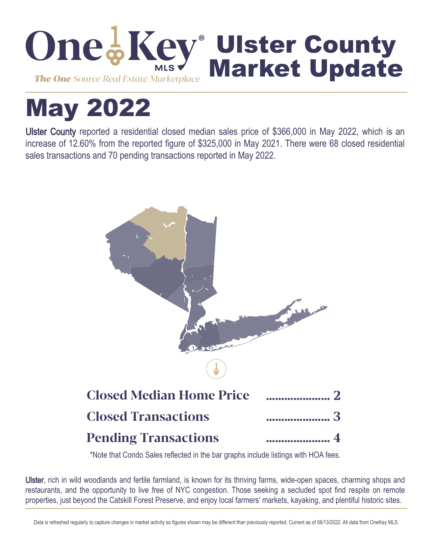

# May 2022

Ulster County reported a residential closed median sales price of \$366,000 in May 2022, which is an increase of 12.60% from the reported figure of \$325,000 in May 2021. There were 68 closed residential sales transactions and 70 pending transactions reported in May 2022.



\*Note that Condo Sales reflected in the bar graphs include listings with HOA fees.

Ulster, rich in wild woodlands and fertile farmland, is known for its thriving farms, wide-open spaces, charming shops and restaurants, and the opportunity to live free of NYC congestion. Those seeking a secluded spot find respite on remote properties, just beyond the Catskill Forest Preserve, and enjoy local farmers' markets, kayaking, and plentiful historic sites.

Data is refreshed regularly to capture changes in market activity so figures shown may be different than previously reported. Current as of 06/13/2022. All data from OneKey MLS.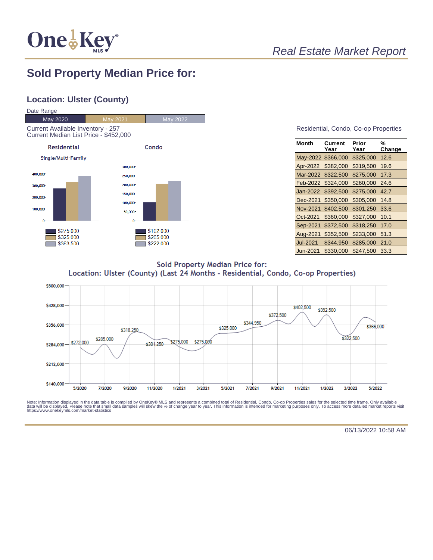

## **Sold Property Median Price for:**

## **Location: Ulster (County)**



#### Residential, Condo, Co-op Properties

| Month           | Current<br>Year | Prior<br>Year | %<br>Change |
|-----------------|-----------------|---------------|-------------|
| May-2022        | \$366,000       | \$325,000     | 12.6        |
| Apr-2022        | \$382,000       | \$319,500     | 19.6        |
| Mar-2022        | \$322.500       | \$275.000     | 17.3        |
| Feb-2022        | \$324.000       | \$260,000     | 24.6        |
| Jan-2022        | \$392,500       | \$275,000     | 42.7        |
| Dec-2021        | \$350,000       | \$305,000     | 14.8        |
| <b>Nov-2021</b> | \$402,500       | \$301,250     | 33.6        |
| Oct-2021        | \$360,000       | \$327,000     | 10.1        |
| Sep-2021        | \$372,500       | \$318,250     | 17.0        |
| Aug-2021        | \$352,500       | \$233,000     | 51.3        |
| Jul-2021        | \$344,950       | \$285,000     | 21.0        |
| Jun-2021        | \$330,000       | \$247,500     | 33.3        |

**Sold Property Median Price for:** Location: Ulster (County) (Last 24 Months - Residential, Condo, Co-op Properties)



Note: Information displayed in the data table is compiled by OneKey® MLS and represents a combined total of Residential, Condo, Co-op Properties sales for the selected time frame. Only available<br>data will be displayed. Pl

06/13/2022 10:58 AM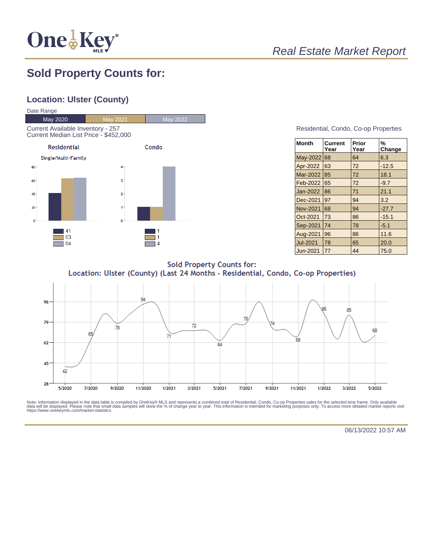

# Real Estate Market Report

## **Sold Property Counts for:**

### **Location: Ulster (County)**



#### Residential, Condo, Co-op Properties

| <b>Month</b>    | Current<br>Year | Prior<br>Year | %<br>Change |
|-----------------|-----------------|---------------|-------------|
| May-2022        | 68              | 64            | 6.3         |
| Apr-2022        | 63              | 72            | $-12.5$     |
| Mar-2022        | 85              | 72            | 18.1        |
| Feb-2022        | 65              | 72            | $-9.7$      |
| Jan-2022        | 86              | 71            | 21.1        |
| Dec-2021        | 97              | 94            | 3.2         |
| <b>Nov-2021</b> | 68              | 94            | $-27.7$     |
| Oct-2021        | 73              | 86            | $-15.1$     |
| Sep-2021        | 74              | 78            | $-5.1$      |
| Aug-2021        | 96              | 86            | 11.6        |
| <b>Jul-2021</b> | 78              | 65            | 20.0        |
| Jun-2021        | 77              | 44            | 75.0        |

**Sold Property Counts for:** Location: Ulster (County) (Last 24 Months - Residential, Condo, Co-op Properties)



Note: Information displayed in the data table is compiled by OneKey® MLS and represents a combined total of Residential, Condo, Co-op Properties sales for the selected time frame. Only available<br>data will be displayed. Pl

06/13/2022 10:57 AM